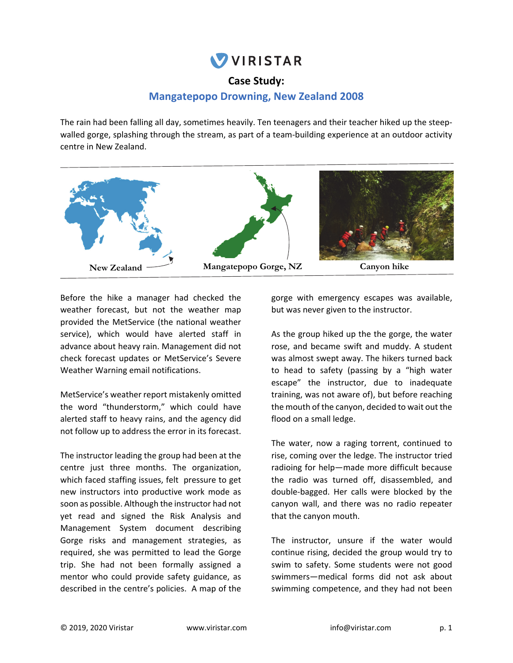# **VIRISTAR**

## **Case Study:**

# **Mangatepopo Drowning, New Zealand 2008**

The rain had been falling all day, sometimes heavily. Ten teenagers and their teacher hiked up the steep‐ walled gorge, splashing through the stream, as part of a team-building experience at an outdoor activity centre in New Zealand.



Before the hike a manager had checked the weather forecast, but not the weather map provided the MetService (the national weather service), which would have alerted staff in advance about heavy rain. Management did not check forecast updates or MetService's Severe Weather Warning email notifications.

MetService's weather report mistakenly omitted the word "thunderstorm," which could have alerted staff to heavy rains, and the agency did not follow up to address the error in its forecast.

The instructor leading the group had been at the centre just three months. The organization, which faced staffing issues, felt pressure to get new instructors into productive work mode as soon as possible. Although the instructor had not yet read and signed the Risk Analysis and Management System document describing Gorge risks and management strategies, as required, she was permitted to lead the Gorge trip. She had not been formally assigned a mentor who could provide safety guidance, as described in the centre's policies. A map of the

gorge with emergency escapes was available, but was never given to the instructor.

As the group hiked up the the gorge, the water rose, and became swift and muddy. A student was almost swept away. The hikers turned back to head to safety (passing by a "high water escape" the instructor, due to inadequate training, was not aware of), but before reaching the mouth of the canyon, decided to wait out the flood on a small ledge.

The water, now a raging torrent, continued to rise, coming over the ledge. The instructor tried radioing for help—made more difficult because the radio was turned off, disassembled, and double‐bagged. Her calls were blocked by the canyon wall, and there was no radio repeater that the canyon mouth.

The instructor, unsure if the water would continue rising, decided the group would try to swim to safety. Some students were not good swimmers—medical forms did not ask about swimming competence, and they had not been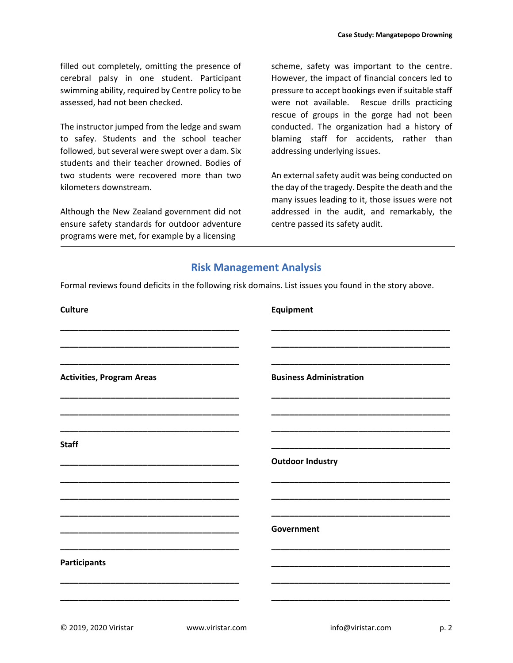filled out completely, omitting the presence of cerebral palsy in one student. Participant swimming ability, required by Centre policy to be assessed, had not been checked.

The instructor jumped from the ledge and swam to safey. Students and the school teacher followed, but several were swept over a dam. Six students and their teacher drowned. Bodies of two students were recovered more than two kilometers downstream.

Although the New Zealand government did not ensure safety standards for outdoor adventure programs were met, for example by a licensing

scheme, safety was important to the centre. However, the impact of financial concers led to pressure to accept bookings even if suitable staff were not available. Rescue drills practicing rescue of groups in the gorge had not been conducted. The organization had a history of blaming staff for accidents, rather than addressing underlying issues.

An external safety audit was being conducted on the day of the tragedy. Despite the death and the many issues leading to it, those issues were not addressed in the audit, and remarkably, the centre passed its safety audit.

### **Risk Management Analysis**

Formal reviews found deficits in the following risk domains. List issues you found in the story above.

| <b>Culture</b>                   | Equipment                      |
|----------------------------------|--------------------------------|
|                                  |                                |
| <b>Activities, Program Areas</b> | <b>Business Administration</b> |
| <b>Staff</b>                     |                                |
|                                  | <b>Outdoor Industry</b>        |
|                                  |                                |
|                                  | Government                     |
| <b>Participants</b>              |                                |
|                                  |                                |